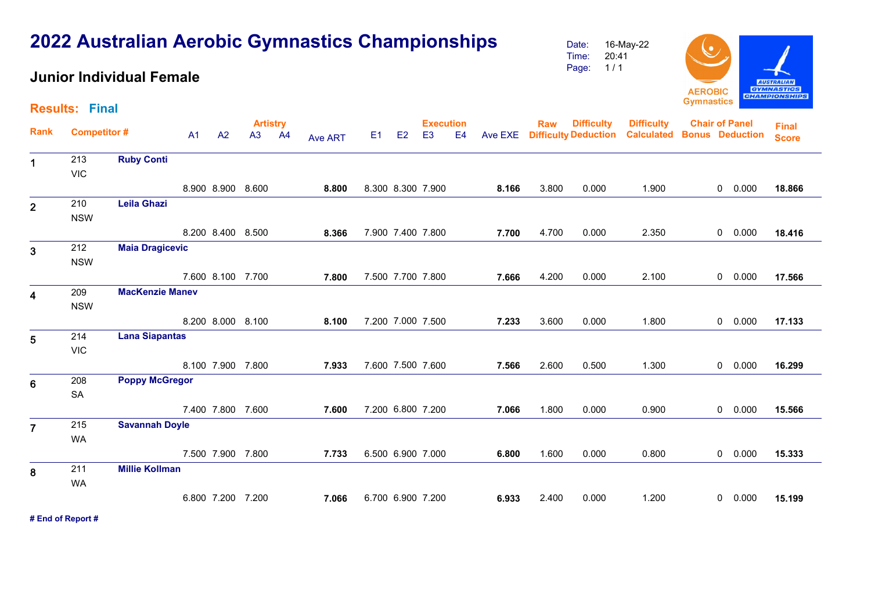#### **AUSTRALIAN GYMNASTICS AEROBIC CHAMPIONSHIPS Gymnastics Results: Final Difficulty Artistry Execution Rank Raw Difficulty Chair of Panel Bonus Deduction** E1 E2 E3 E4 Ave EXE **Deduction Difficulty Competitor # Calculated Final**  A1 A2 A3 A4 Ave ART**Score**1 213 **Ruby Conti** 213VIC 8.300 8.300 7.900 **8.166** 3.800 0.000 0 1.900 0.000 **18.866** 8.900 8.900 8.600 **8.800**210 **Leila Ghazi** <sup>2</sup>NSW8.200 8.400 8.500 **8.366** 7.900 7.400 7.800 **7.700** 4.700 0.000 0 2.350 0.000 **18.416** 212**Maia Dragicevic**  $\overline{3}$ **NSW**  7.500 7.700 7.800 **7.666** 4.200 0.000 0 2.100 0.000 **17.566** 7.600 8.100 7.700 **7.800 MacKenzie Manev** 4209NSW 7.200 7.000 7.500 **7.233** 3.600 0.000 0 1.800 0.000 **17.133** 8.200 8.000 8.100 **8.100 Lana Siapantas** <sup>5</sup>214VIC 7.600 7.500 7.600 **7.566** 2.600 0.500 0 1.300 0.000 **16.299** 8.100 7.900 7.800 **7.933 Poppy McGregor** 6208SA 7.200 6.800 7.200 **7.066** 1.800 0.000 0 0.900 0.000 **15.566** 7.400 7.800 7.600 **7.600 Savannah Doyle** <sup>7</sup>215WA 7.500 7.900 7.800 **7.733** 6.500 6.900 7.000 **6.800** 1.600 0.000 0 0.800 0.000 **15.333** 211**Millie Kollman** 8 WA 6.700 6.900 7.200 **6.933** 2.400 0.000 0 1.200 0.000 **15.199** 6.800 7.200 7.200 **7.066**

**# End of Report #**

# **2022 Australian Aerobic Gymnastics Championships**

## **Junior Individual Female**

Date:16-May-22

Time: Page: 20:41 1 / 1